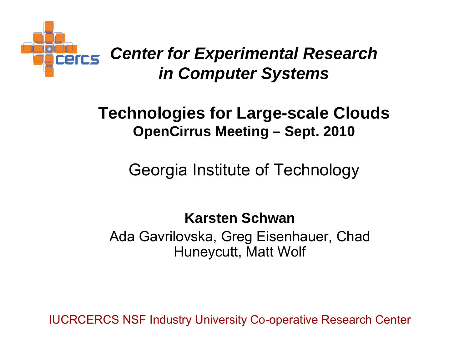

## *Center for Experimental Research in Computer Systems*

## **Technologies for Large-scale Clouds OpenCirrus Meeting – Sept. 2010**

# Georgia Institute of Technology

### **Karsten Schwan**

Ada Gavrilovska, Greg Eisenhauer, Chad Huneycutt, Matt Wolf

IUCRCERCS NSF Industry University Co-operative Research Center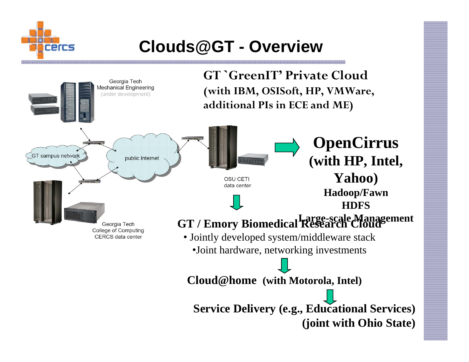

# **Clouds@GT - Overview**

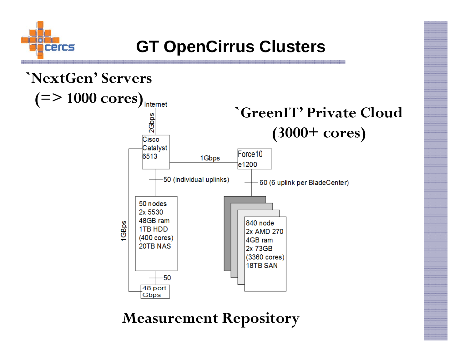

# **GT OpenCirrus Clusters**

#### **`NextGen' Servers**  $(=>1000 \text{ cores})$ <sub>Internet</sub> **`GreenIT' Private Cloud**2Gbps **(3000+ cores)** Cisco Catalyst Force10 6513 1Gbps e1200 50 (individual uplinks) -60 (6 uplink per BladeCenter) 50 nodes 2x 5530 48GB ram 1GBps 840 node 1TB HDD 2x AMD 270  $(400 \text{ cores})$ 4GB ram 20TB NAS 2x 73GB (3360 cores) **18TB SAN**  $-50$ 48 port ∫Gbps

**Measurement Repository**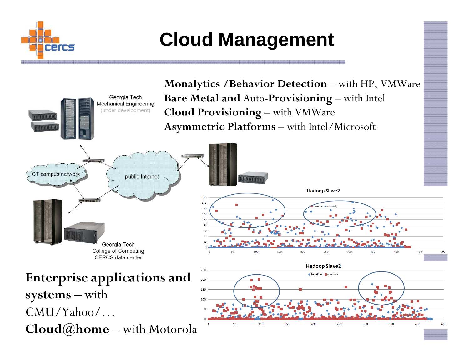

# **Cloud Management**

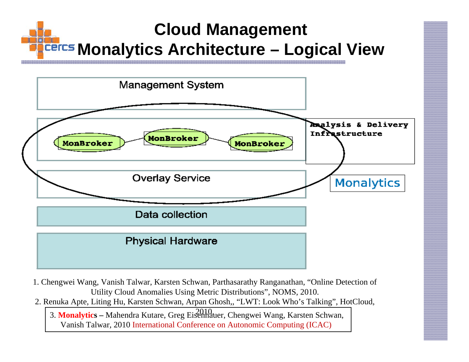



1. Chengwei Wang, Vanish Talwar, Karsten Schwan, Parthasarathy Ranganathan, "Online Detection of Utility Cloud Anomalies Using Metric Distributions", NOMS, 2010.

2. Renuka Apte, Liting Hu, Karsten Schwan, Arpan Ghosh,, "LWT: Look Who's Talking", HotCloud,

3. **Monalytics –** Mahendra Kutare, Greg Eisenhauer, Chengwei Wang, Karsten Schwan, 2010.Vanish Talwar, 2010 International Conference on Autonomic Computing (ICAC)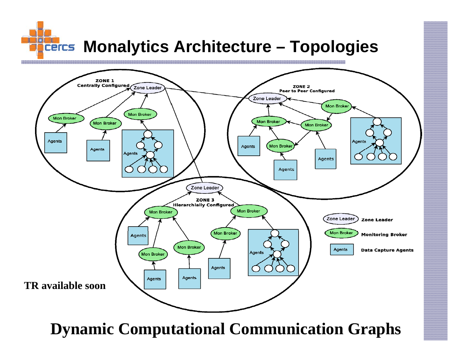



**Dynamic Computational Communication Graphs**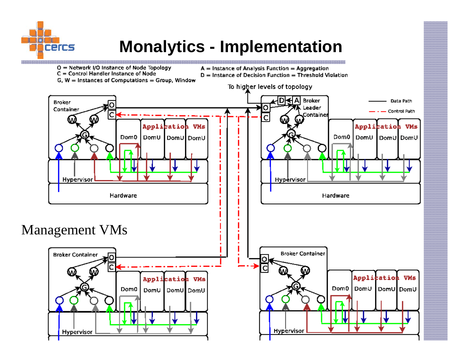

## **Monalytics - Implementation**

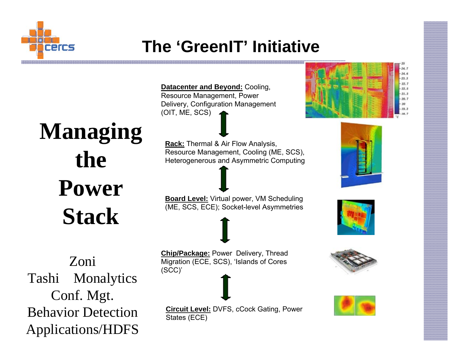

# **The 'GreenIT' Initiative**

**Managing the Power Stack**

ZoniTashi Monalytics Conf. Mgt. Behavior DetectionApplications/HDFS **Datacenter and Beyond:** Cooling, Resource Management, Power Delivery, Configuration Management (OIT, ME, SCS)

**Rack:** Thermal & Air Flow Analysis, Resource Management, Cooling (ME, SCS), Heterogenerous and Asymmetric Computing



**Chip/Package:** Power Delivery, Thread Migration (ECE, SCS), 'Islands of Cores (SCC)'











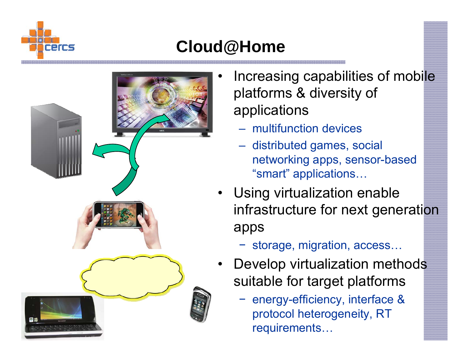

# **Cloud@Home**



- • Increasing capabilities of mobile platforms & diversity of applications
	- multifunction devices
	- distributed games, social networking apps, sensor-based "smart" applications…
- Using virtualization enable infrastructure for next generation apps
	- − storage, migration, access…
- • Develop virtualization methods suitable for target platforms
	- − energy-efficiency, interface & protocol heterogeneity, RT requirements…